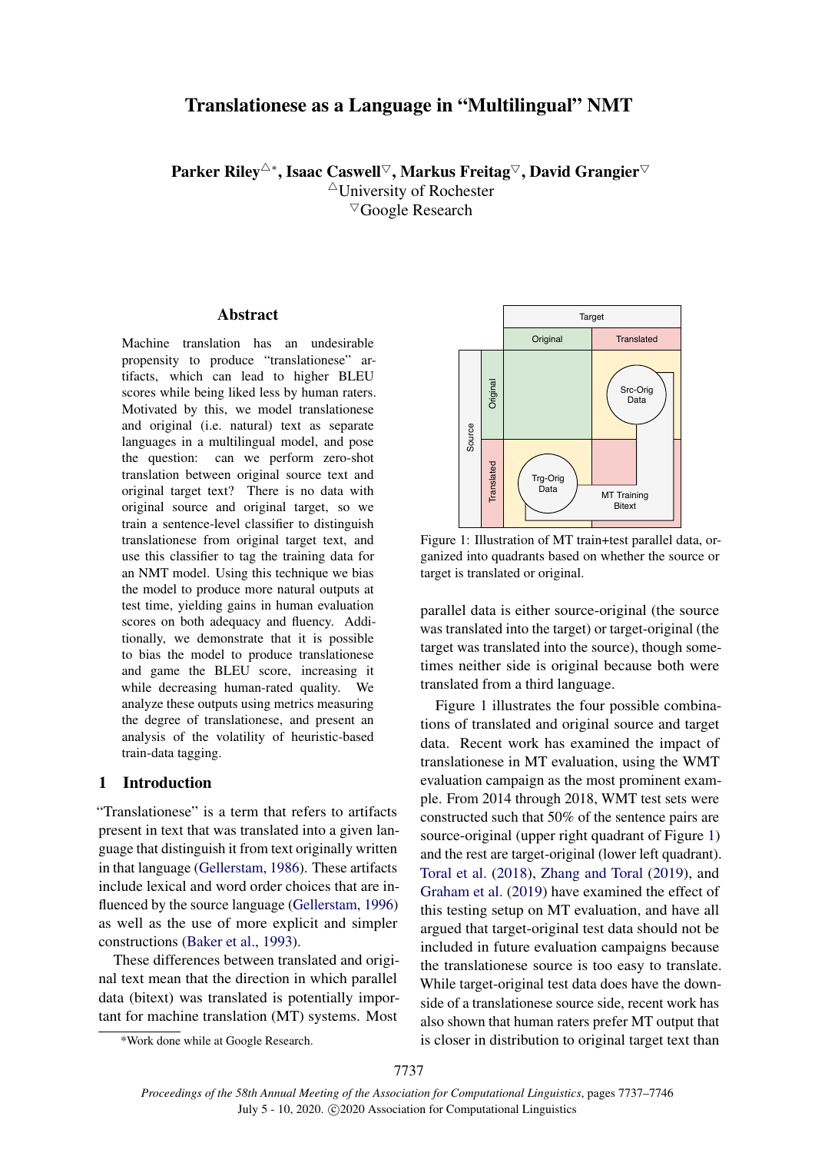# Translationese as a Language in "Multilingual" NMT

Parker Riley<sup>△∗</sup>, Isaac Caswell<sup>▽</sup>, Markus Freitag<sup>▽</sup>, David Grangier<sup>▽</sup>  $\triangle$ University of Rochester <sup>5</sup>Google Research

### **Abstract**

Machine translation has an undesirable propensity to produce "translationese" artifacts, which can lead to higher BLEU scores while being liked less by human raters. Motivated by this, we model translationese and original (i.e. natural) text as separate languages in a multilingual model, and pose the question: can we perform zero-shot translation between original source text and original target text? There is no data with original source and original target, so we train a sentence-level classifier to distinguish translationese from original target text, and use this classifier to tag the training data for an NMT model. Using this technique we bias the model to produce more natural outputs at test time, yielding gains in human evaluation scores on both adequacy and fluency. Additionally, we demonstrate that it is possible to bias the model to produce translationese and game the BLEU score, increasing it while decreasing human-rated quality. We analyze these outputs using metrics measuring the degree of translationese, and present an analysis of the volatility of heuristic-based train-data tagging.

#### 1 Introduction

"Translationese" is a term that refers to artifacts present in text that was translated into a given language that distinguish it from text originally written in that language [\(Gellerstam,](#page-8-0) [1986\)](#page-8-0). These artifacts include lexical and word order choices that are influenced by the source language [\(Gellerstam,](#page-8-1) [1996\)](#page-8-1) as well as the use of more explicit and simpler constructions [\(Baker et al.,](#page-8-2) [1993\)](#page-8-2).

These differences between translated and original text mean that the direction in which parallel data (bitext) was translated is potentially important for machine translation (MT) systems. Most

<span id="page-0-0"></span>

Figure 1: Illustration of MT train+test parallel data, organized into quadrants based on whether the source or target is translated or original.

parallel data is either source-original (the source was translated into the target) or target-original (the target was translated into the source), though sometimes neither side is original because both were translated from a third language.

Figure [1](#page-0-0) illustrates the four possible combinations of translated and original source and target data. Recent work has examined the impact of translationese in MT evaluation, using the WMT evaluation campaign as the most prominent example. From 2014 through 2018, WMT test sets were constructed such that 50% of the sentence pairs are source-original (upper right quadrant of Figure [1\)](#page-0-0) and the rest are target-original (lower left quadrant). [Toral et al.](#page-9-0) [\(2018\)](#page-9-0), [Zhang and Toral](#page-9-1) [\(2019\)](#page-9-1), and [Graham et al.](#page-8-3) [\(2019\)](#page-8-3) have examined the effect of this testing setup on MT evaluation, and have all argued that target-original test data should not be included in future evaluation campaigns because the translationese source is too easy to translate. While target-original test data does have the downside of a translationese source side, recent work has also shown that human raters prefer MT output that is closer in distribution to original target text than

<sup>\*</sup>Work done while at Google Research.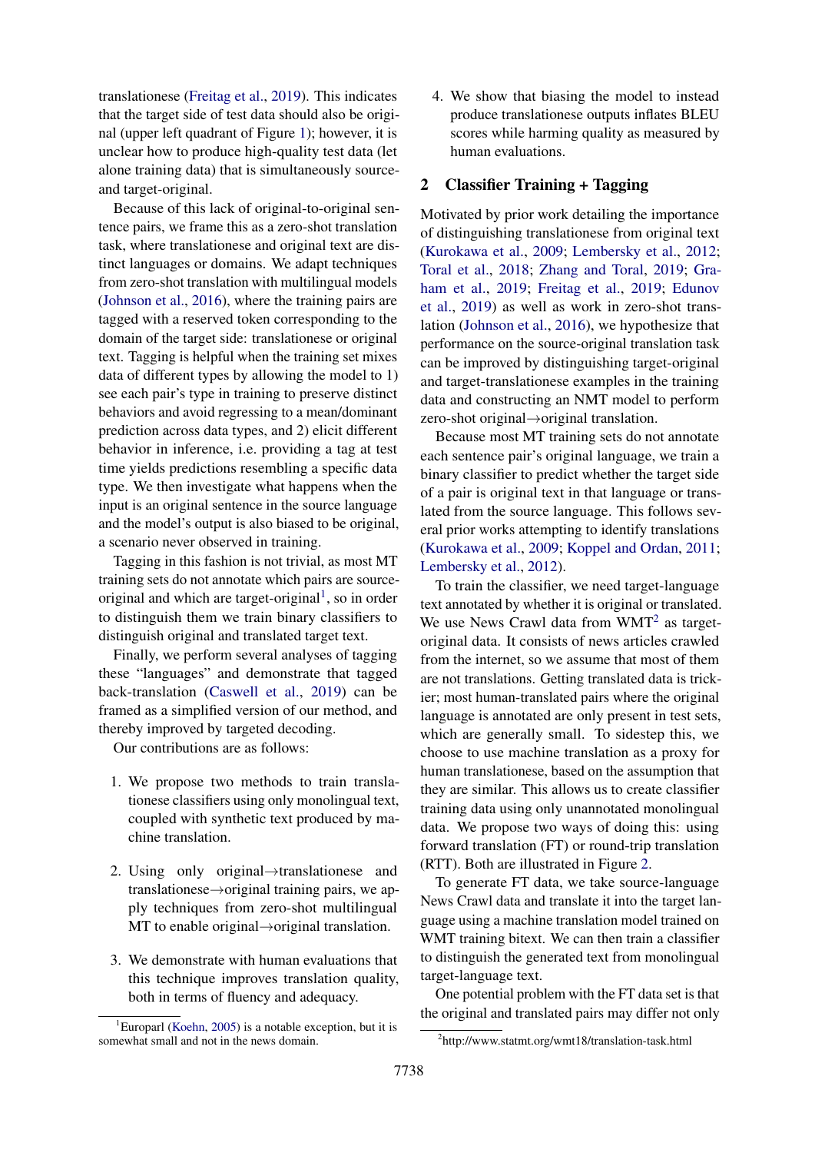translationese [\(Freitag et al.,](#page-8-4) [2019\)](#page-8-4). This indicates that the target side of test data should also be original (upper left quadrant of Figure [1\)](#page-0-0); however, it is unclear how to produce high-quality test data (let alone training data) that is simultaneously sourceand target-original.

Because of this lack of original-to-original sentence pairs, we frame this as a zero-shot translation task, where translationese and original text are distinct languages or domains. We adapt techniques from zero-shot translation with multilingual models [\(Johnson et al.,](#page-8-5) [2016\)](#page-8-5), where the training pairs are tagged with a reserved token corresponding to the domain of the target side: translationese or original text. Tagging is helpful when the training set mixes data of different types by allowing the model to 1) see each pair's type in training to preserve distinct behaviors and avoid regressing to a mean/dominant prediction across data types, and 2) elicit different behavior in inference, i.e. providing a tag at test time yields predictions resembling a specific data type. We then investigate what happens when the input is an original sentence in the source language and the model's output is also biased to be original, a scenario never observed in training.

Tagging in this fashion is not trivial, as most MT training sets do not annotate which pairs are source-original and which are target-original<sup>[1](#page-1-0)</sup>, so in order to distinguish them we train binary classifiers to distinguish original and translated target text.

Finally, we perform several analyses of tagging these "languages" and demonstrate that tagged back-translation [\(Caswell et al.,](#page-8-6) [2019\)](#page-8-6) can be framed as a simplified version of our method, and thereby improved by targeted decoding.

Our contributions are as follows:

- 1. We propose two methods to train translationese classifiers using only monolingual text, coupled with synthetic text produced by machine translation.
- 2. Using only original→translationese and translationese→original training pairs, we apply techniques from zero-shot multilingual MT to enable original→original translation.
- 3. We demonstrate with human evaluations that this technique improves translation quality, both in terms of fluency and adequacy.

4. We show that biasing the model to instead produce translationese outputs inflates BLEU scores while harming quality as measured by human evaluations.

# 2 Classifier Training + Tagging

Motivated by prior work detailing the importance of distinguishing translationese from original text [\(Kurokawa et al.,](#page-9-3) [2009;](#page-9-3) [Lembersky et al.,](#page-9-4) [2012;](#page-9-4) [Toral et al.,](#page-9-0) [2018;](#page-9-0) [Zhang and Toral,](#page-9-1) [2019;](#page-9-1) [Gra](#page-8-3)[ham et al.,](#page-8-3) [2019;](#page-8-3) [Freitag et al.,](#page-8-4) [2019;](#page-8-4) [Edunov](#page-8-7) [et al.,](#page-8-7) [2019\)](#page-8-7) as well as work in zero-shot translation [\(Johnson et al.,](#page-8-5) [2016\)](#page-8-5), we hypothesize that performance on the source-original translation task can be improved by distinguishing target-original and target-translationese examples in the training data and constructing an NMT model to perform zero-shot original→original translation.

Because most MT training sets do not annotate each sentence pair's original language, we train a binary classifier to predict whether the target side of a pair is original text in that language or translated from the source language. This follows several prior works attempting to identify translations [\(Kurokawa et al.,](#page-9-3) [2009;](#page-9-3) [Koppel and Ordan,](#page-9-5) [2011;](#page-9-5) [Lembersky et al.,](#page-9-4) [2012\)](#page-9-4).

To train the classifier, we need target-language text annotated by whether it is original or translated. We use News Crawl data from  $WMT^2$  $WMT^2$  as targetoriginal data. It consists of news articles crawled from the internet, so we assume that most of them are not translations. Getting translated data is trickier; most human-translated pairs where the original language is annotated are only present in test sets, which are generally small. To sidestep this, we choose to use machine translation as a proxy for human translationese, based on the assumption that they are similar. This allows us to create classifier training data using only unannotated monolingual data. We propose two ways of doing this: using forward translation (FT) or round-trip translation (RTT). Both are illustrated in Figure [2.](#page-2-0)

To generate FT data, we take source-language News Crawl data and translate it into the target language using a machine translation model trained on WMT training bitext. We can then train a classifier to distinguish the generated text from monolingual target-language text.

One potential problem with the FT data set is that the original and translated pairs may differ not only

<span id="page-1-0"></span><sup>&</sup>lt;sup>1</sup>Europarl [\(Koehn,](#page-9-2) [2005\)](#page-9-2) is a notable exception, but it is somewhat small and not in the news domain.

<span id="page-1-1"></span><sup>2</sup> http://www.statmt.org/wmt18/translation-task.html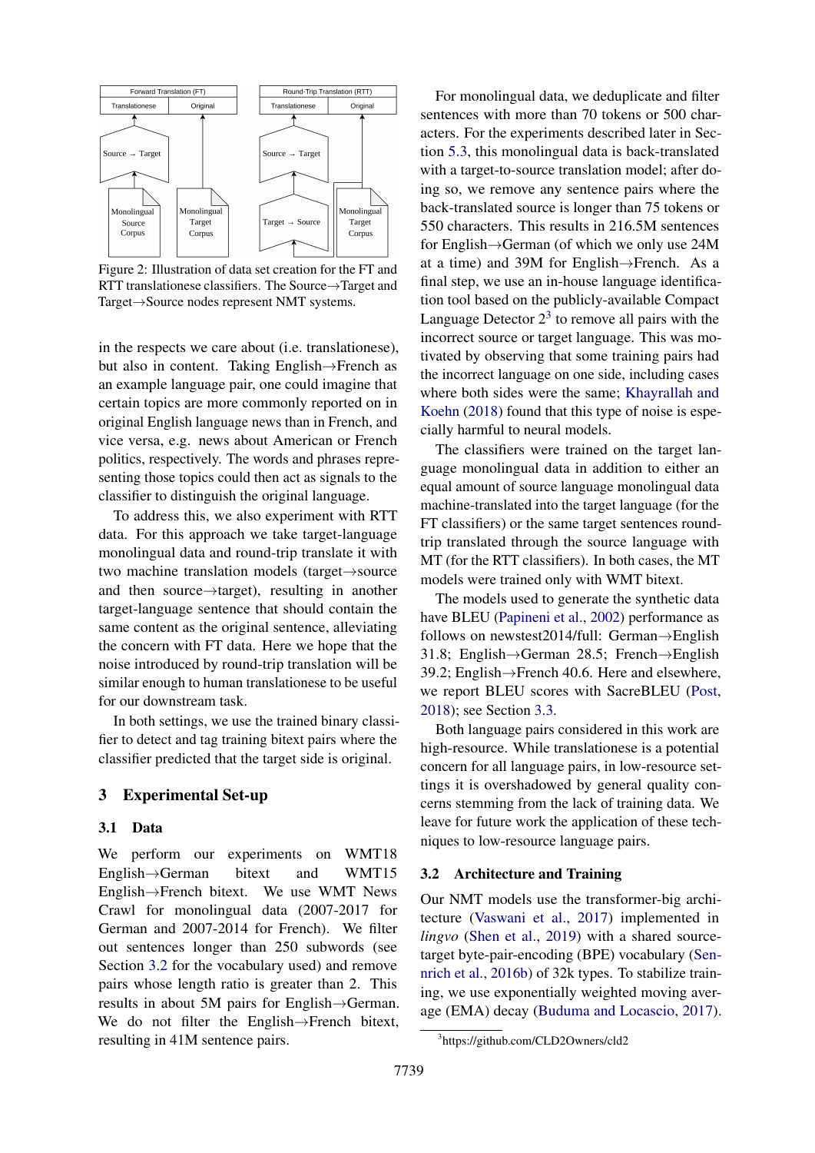<span id="page-2-0"></span>

Figure 2: Illustration of data set creation for the FT and RTT translationese classifiers. The Source→Target and Target→Source nodes represent NMT systems.

in the respects we care about (i.e. translationese), but also in content. Taking English→French as an example language pair, one could imagine that certain topics are more commonly reported on in original English language news than in French, and vice versa, e.g. news about American or French politics, respectively. The words and phrases representing those topics could then act as signals to the classifier to distinguish the original language.

To address this, we also experiment with RTT data. For this approach we take target-language monolingual data and round-trip translate it with two machine translation models (target→source and then source→target), resulting in another target-language sentence that should contain the same content as the original sentence, alleviating the concern with FT data. Here we hope that the noise introduced by round-trip translation will be similar enough to human translationese to be useful for our downstream task.

In both settings, we use the trained binary classifier to detect and tag training bitext pairs where the classifier predicted that the target side is original.

# 3 Experimental Set-up

#### 3.1 Data

We perform our experiments on WMT18 English→German bitext and WMT15 English→French bitext. We use WMT News Crawl for monolingual data (2007-2017 for German and 2007-2014 for French). We filter out sentences longer than 250 subwords (see Section [3.2](#page-2-1) for the vocabulary used) and remove pairs whose length ratio is greater than 2. This results in about 5M pairs for English→German. We do not filter the English→French bitext, resulting in 41M sentence pairs.

For monolingual data, we deduplicate and filter sentences with more than 70 tokens or 500 characters. For the experiments described later in Section [5.3,](#page-6-0) this monolingual data is back-translated with a target-to-source translation model; after doing so, we remove any sentence pairs where the back-translated source is longer than 75 tokens or 550 characters. This results in 216.5M sentences for English→German (of which we only use 24M at a time) and 39M for English→French. As a final step, we use an in-house language identification tool based on the publicly-available Compact Language Detector  $2<sup>3</sup>$  $2<sup>3</sup>$  $2<sup>3</sup>$  to remove all pairs with the incorrect source or target language. This was motivated by observing that some training pairs had the incorrect language on one side, including cases where both sides were the same; [Khayrallah and](#page-8-8) [Koehn](#page-8-8) [\(2018\)](#page-8-8) found that this type of noise is especially harmful to neural models.

The classifiers were trained on the target language monolingual data in addition to either an equal amount of source language monolingual data machine-translated into the target language (for the FT classifiers) or the same target sentences roundtrip translated through the source language with MT (for the RTT classifiers). In both cases, the MT models were trained only with WMT bitext.

The models used to generate the synthetic data have BLEU [\(Papineni et al.,](#page-9-6) [2002\)](#page-9-6) performance as follows on newstest2014/full: German→English 31.8; English→German 28.5; French→English 39.2; English→French 40.6. Here and elsewhere, we report BLEU scores with SacreBLEU [\(Post,](#page-9-7) [2018\)](#page-9-7); see Section [3.3.](#page-3-0)

Both language pairs considered in this work are high-resource. While translationese is a potential concern for all language pairs, in low-resource settings it is overshadowed by general quality concerns stemming from the lack of training data. We leave for future work the application of these techniques to low-resource language pairs.

### <span id="page-2-1"></span>3.2 Architecture and Training

Our NMT models use the transformer-big architecture [\(Vaswani et al.,](#page-9-8) [2017\)](#page-9-8) implemented in *lingvo* [\(Shen et al.,](#page-9-9) [2019\)](#page-9-9) with a shared sourcetarget byte-pair-encoding (BPE) vocabulary [\(Sen](#page-9-10)[nrich et al.,](#page-9-10) [2016b\)](#page-9-10) of 32k types. To stabilize training, we use exponentially weighted moving average (EMA) decay [\(Buduma and Locascio,](#page-8-9) [2017\)](#page-8-9).

<span id="page-2-2"></span><sup>3</sup> https://github.com/CLD2Owners/cld2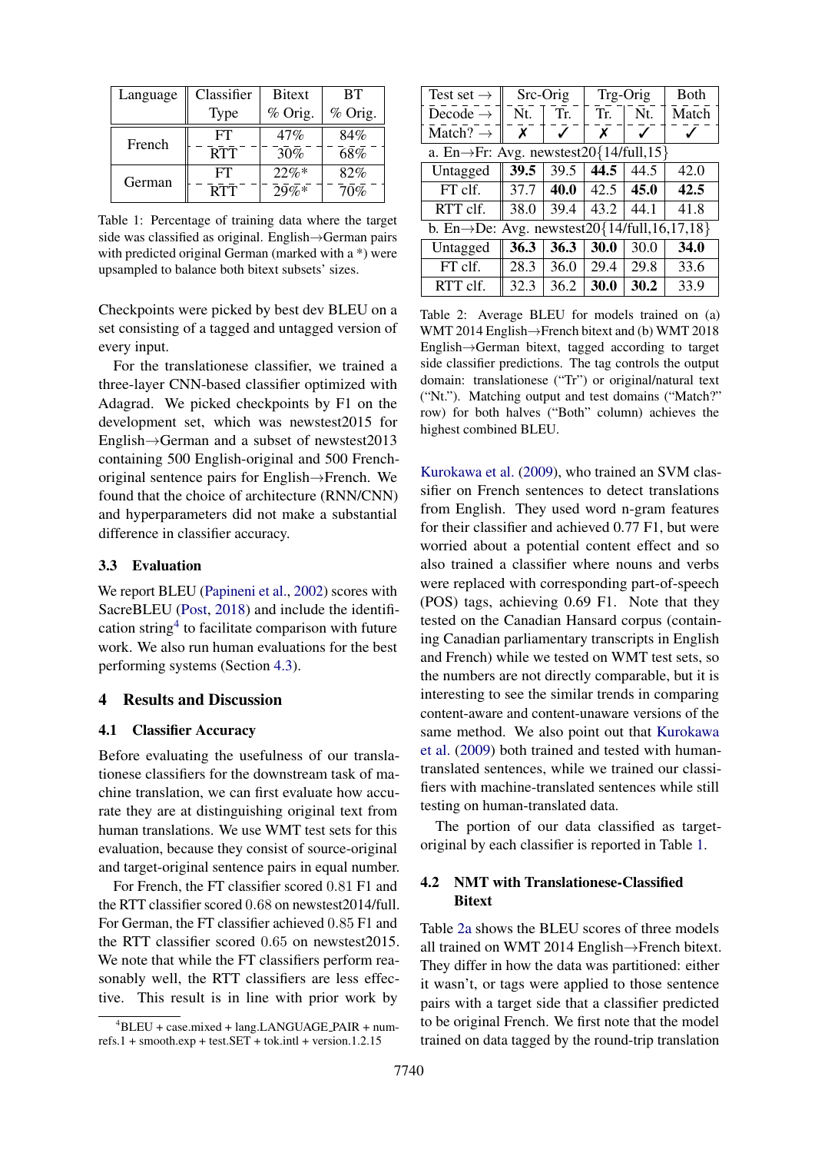<span id="page-3-2"></span>

| Language | Classifier  | <b>B</b> itext | <b>BT</b> |
|----------|-------------|----------------|-----------|
|          | <b>Type</b> | % Orig.        | % Orig.   |
| French   | FT          | 47%            | 84%       |
|          | <b>RTT</b>  | 30%            | 68%       |
| German   | FT          | $22\%*$        | 82%       |
|          | <b>RTT</b>  | 79%            | 70%       |

Table 1: Percentage of training data where the target side was classified as original. English→German pairs with predicted original German (marked with a \*) were upsampled to balance both bitext subsets' sizes.

Checkpoints were picked by best dev BLEU on a set consisting of a tagged and untagged version of every input.

For the translationese classifier, we trained a three-layer CNN-based classifier optimized with Adagrad. We picked checkpoints by F1 on the development set, which was newstest2015 for English→German and a subset of newstest2013 containing 500 English-original and 500 Frenchoriginal sentence pairs for English→French. We found that the choice of architecture (RNN/CNN) and hyperparameters did not make a substantial difference in classifier accuracy.

# <span id="page-3-0"></span>3.3 Evaluation

We report BLEU [\(Papineni et al.,](#page-9-6) [2002\)](#page-9-6) scores with SacreBLEU [\(Post,](#page-9-7) [2018\)](#page-9-7) and include the identification string[4](#page-3-1) to facilitate comparison with future work. We also run human evaluations for the best performing systems (Section [4.3\)](#page-4-0).

# 4 Results and Discussion

# 4.1 Classifier Accuracy

Before evaluating the usefulness of our translationese classifiers for the downstream task of machine translation, we can first evaluate how accurate they are at distinguishing original text from human translations. We use WMT test sets for this evaluation, because they consist of source-original and target-original sentence pairs in equal number.

For French, the FT classifier scored 0.81 F1 and the RTT classifier scored 0.68 on newstest2014/full. For German, the FT classifier achieved 0.85 F1 and the RTT classifier scored 0.65 on newstest2015. We note that while the FT classifiers perform reasonably well, the RTT classifiers are less effective. This result is in line with prior work by

<span id="page-3-3"></span>

| Test set $\rightarrow$                                    | Src-Orig |      | Trg-Orig |      | <b>B</b> oth |
|-----------------------------------------------------------|----------|------|----------|------|--------------|
| Decode $\rightarrow$                                      | Nt.      | Tr.  | Tr.      | Nt.  | Match        |
| Match? $\rightarrow$                                      | X        |      | x        |      |              |
| a. En $\rightarrow$ Fr: Avg. newstest20{14/full,15}       |          |      |          |      |              |
| Untagged                                                  | 39.5     | 39.5 | 44.5     | 44.5 | 42.0         |
| FT clf.                                                   | 37.7     | 40.0 | 42.5     | 45.0 | 42.5         |
| RTT clf.                                                  | 38.0     | 39.4 | 43.2     | 44.1 | 41.8         |
| b. En $\rightarrow$ De: Avg. newstest20{14/full,16,17,18} |          |      |          |      |              |
| Untagged                                                  | 36.3     | 36.3 | 30.0     | 30.0 | 34.0         |
| FT clf.                                                   | 28.3     | 36.0 | 29.4     | 29.8 | 33.6         |
| RTT clf.                                                  | 32.3     | 36.2 | 30.0     | 30.2 | 33.9         |

Table 2: Average BLEU for models trained on (a) WMT 2014 English→French bitext and (b) WMT 2018 English→German bitext, tagged according to target side classifier predictions. The tag controls the output domain: translationese ("Tr") or original/natural text ("Nt."). Matching output and test domains ("Match?" row) for both halves ("Both" column) achieves the highest combined BLEU.

[Kurokawa et al.](#page-9-3) [\(2009\)](#page-9-3), who trained an SVM classifier on French sentences to detect translations from English. They used word n-gram features for their classifier and achieved 0.77 F1, but were worried about a potential content effect and so also trained a classifier where nouns and verbs were replaced with corresponding part-of-speech (POS) tags, achieving 0.69 F1. Note that they tested on the Canadian Hansard corpus (containing Canadian parliamentary transcripts in English and French) while we tested on WMT test sets, so the numbers are not directly comparable, but it is interesting to see the similar trends in comparing content-aware and content-unaware versions of the same method. We also point out that [Kurokawa](#page-9-3) [et al.](#page-9-3) [\(2009\)](#page-9-3) both trained and tested with humantranslated sentences, while we trained our classifiers with machine-translated sentences while still testing on human-translated data.

The portion of our data classified as targetoriginal by each classifier is reported in Table [1.](#page-3-2)

# 4.2 NMT with Translationese-Classified **Bitext**

Table [2a](#page-3-3) shows the BLEU scores of three models all trained on WMT 2014 English→French bitext. They differ in how the data was partitioned: either it wasn't, or tags were applied to those sentence pairs with a target side that a classifier predicted to be original French. We first note that the model trained on data tagged by the round-trip translation

<span id="page-3-1"></span> $^{4}$ BLEU + case.mixed + lang.LANGUAGE\_PAIR + num $refs.1 + smooth.exp + test.SET + tok.intl + version.1.2.15$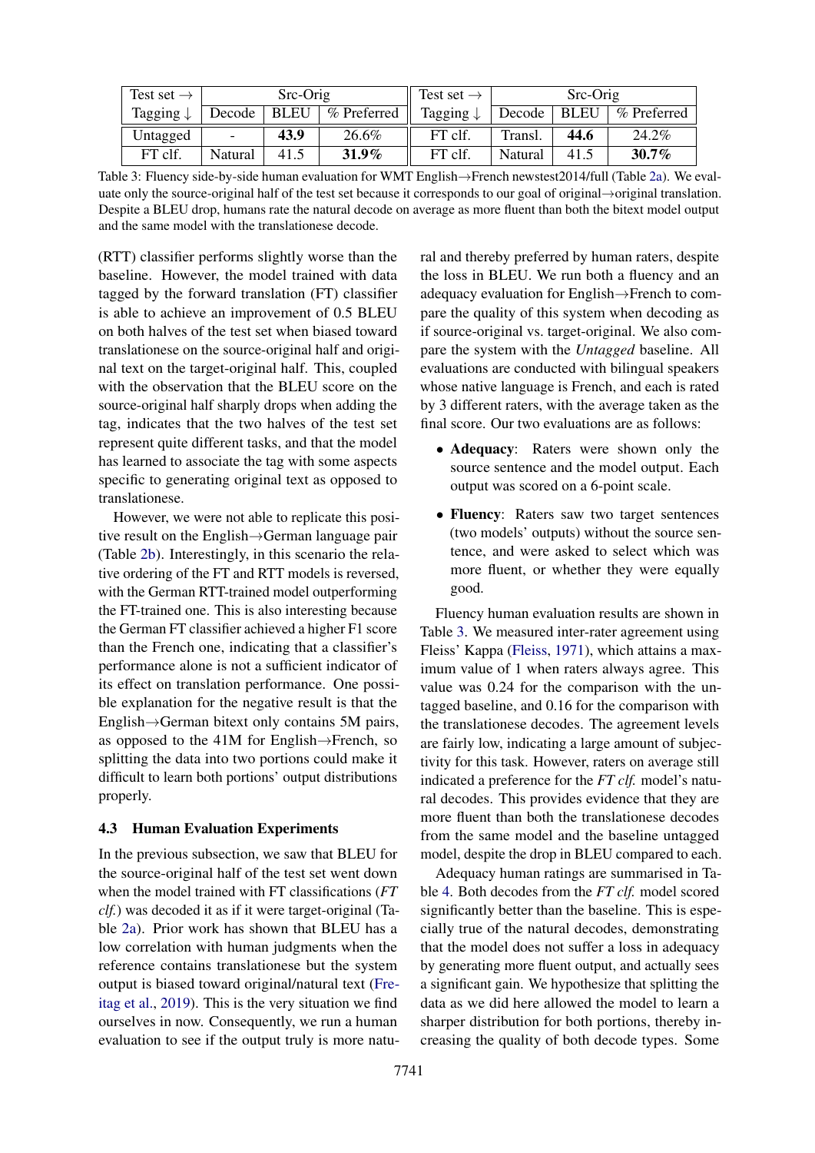<span id="page-4-1"></span>

| Test set $\rightarrow$ | Src-Orig                 |      |             | Test set $\rightarrow$ |         | $Src-Orig$ |             |
|------------------------|--------------------------|------|-------------|------------------------|---------|------------|-------------|
| Tagging $\downarrow$   | Decode                   | BLEU | % Preferred | Tagging $\downarrow$   | Decode  | ' BLEU     | % Preferred |
| Untagged               | $\overline{\phantom{0}}$ | 43.9 | 26.6%       | FT clf.                | Transl. | 44.6       | 24.2%       |
| FT clf.                | Natural                  | 41.5 | $31.9\%$    | FT clf.                | Natural | 41.5       | $30.7\%$    |

Table 3: Fluency side-by-side human evaluation for WMT English→French newstest2014/full (Table [2a\)](#page-3-3). We evaluate only the source-original half of the test set because it corresponds to our goal of original→original translation. Despite a BLEU drop, humans rate the natural decode on average as more fluent than both the bitext model output and the same model with the translationese decode.

(RTT) classifier performs slightly worse than the baseline. However, the model trained with data tagged by the forward translation (FT) classifier is able to achieve an improvement of 0.5 BLEU on both halves of the test set when biased toward translationese on the source-original half and original text on the target-original half. This, coupled with the observation that the BLEU score on the source-original half sharply drops when adding the tag, indicates that the two halves of the test set represent quite different tasks, and that the model has learned to associate the tag with some aspects specific to generating original text as opposed to translationese.

However, we were not able to replicate this positive result on the English→German language pair (Table [2b\)](#page-3-3). Interestingly, in this scenario the relative ordering of the FT and RTT models is reversed, with the German RTT-trained model outperforming the FT-trained one. This is also interesting because the German FT classifier achieved a higher F1 score than the French one, indicating that a classifier's performance alone is not a sufficient indicator of its effect on translation performance. One possible explanation for the negative result is that the English→German bitext only contains 5M pairs, as opposed to the 41M for English→French, so splitting the data into two portions could make it difficult to learn both portions' output distributions properly.

#### <span id="page-4-0"></span>4.3 Human Evaluation Experiments

In the previous subsection, we saw that BLEU for the source-original half of the test set went down when the model trained with FT classifications (*FT clf.*) was decoded it as if it were target-original (Table [2a\)](#page-3-3). Prior work has shown that BLEU has a low correlation with human judgments when the reference contains translationese but the system output is biased toward original/natural text [\(Fre](#page-8-4)[itag et al.,](#page-8-4) [2019\)](#page-8-4). This is the very situation we find ourselves in now. Consequently, we run a human evaluation to see if the output truly is more natural and thereby preferred by human raters, despite the loss in BLEU. We run both a fluency and an adequacy evaluation for English→French to compare the quality of this system when decoding as if source-original vs. target-original. We also compare the system with the *Untagged* baseline. All evaluations are conducted with bilingual speakers whose native language is French, and each is rated by 3 different raters, with the average taken as the final score. Our two evaluations are as follows:

- Adequacy: Raters were shown only the source sentence and the model output. Each output was scored on a 6-point scale.
- Fluency: Raters saw two target sentences (two models' outputs) without the source sentence, and were asked to select which was more fluent, or whether they were equally good.

Fluency human evaluation results are shown in Table [3.](#page-4-1) We measured inter-rater agreement using Fleiss' Kappa [\(Fleiss,](#page-8-10) [1971\)](#page-8-10), which attains a maximum value of 1 when raters always agree. This value was 0.24 for the comparison with the untagged baseline, and 0.16 for the comparison with the translationese decodes. The agreement levels are fairly low, indicating a large amount of subjectivity for this task. However, raters on average still indicated a preference for the *FT clf.* model's natural decodes. This provides evidence that they are more fluent than both the translationese decodes from the same model and the baseline untagged model, despite the drop in BLEU compared to each.

Adequacy human ratings are summarised in Table [4.](#page-5-0) Both decodes from the *FT clf.* model scored significantly better than the baseline. This is especially true of the natural decodes, demonstrating that the model does not suffer a loss in adequacy by generating more fluent output, and actually sees a significant gain. We hypothesize that splitting the data as we did here allowed the model to learn a sharper distribution for both portions, thereby increasing the quality of both decode types. Some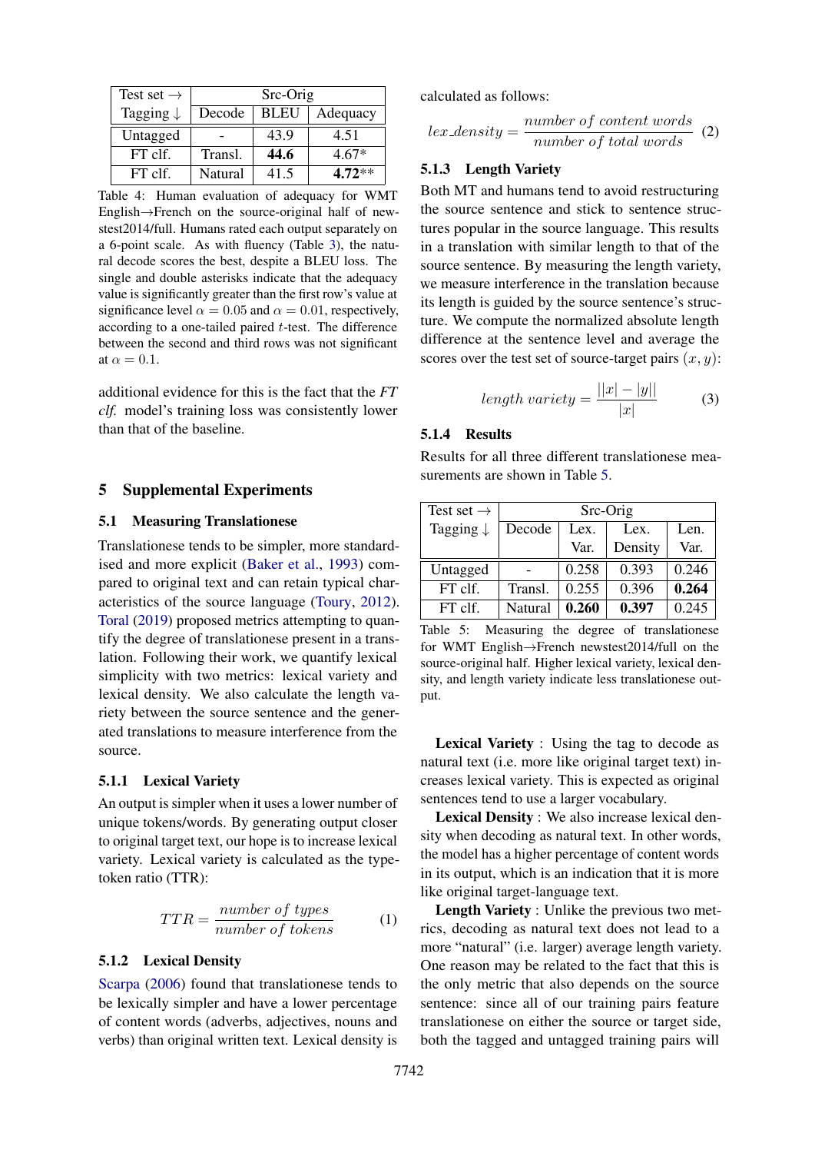<span id="page-5-0"></span>

| Test set $\rightarrow$ | Src-Orig |             |          |  |
|------------------------|----------|-------------|----------|--|
| Tagging $\downarrow$   | Decode   | <b>BLEU</b> | Adequacy |  |
| Untagged               |          | 43.9        | 4.51     |  |
| FT clf.                | Transl.  | 44.6        | $4.67*$  |  |
| FT clf.                | Natural  | 41.5        | $4.72**$ |  |

Table 4: Human evaluation of adequacy for WMT English→French on the source-original half of newstest2014/full. Humans rated each output separately on a 6-point scale. As with fluency (Table [3\)](#page-4-1), the natural decode scores the best, despite a BLEU loss. The single and double asterisks indicate that the adequacy value is significantly greater than the first row's value at significance level  $\alpha = 0.05$  and  $\alpha = 0.01$ , respectively, according to a one-tailed paired t-test. The difference between the second and third rows was not significant at  $\alpha = 0.1$ .

additional evidence for this is the fact that the *FT clf.* model's training loss was consistently lower than that of the baseline.

#### 5 Supplemental Experiments

#### 5.1 Measuring Translationese

Translationese tends to be simpler, more standardised and more explicit [\(Baker et al.,](#page-8-2) [1993\)](#page-8-2) compared to original text and can retain typical characteristics of the source language [\(Toury,](#page-9-11) [2012\)](#page-9-11). [Toral](#page-9-12) [\(2019\)](#page-9-12) proposed metrics attempting to quantify the degree of translationese present in a translation. Following their work, we quantify lexical simplicity with two metrics: lexical variety and lexical density. We also calculate the length variety between the source sentence and the generated translations to measure interference from the source.

#### 5.1.1 Lexical Variety

An output is simpler when it uses a lower number of unique tokens/words. By generating output closer to original target text, our hope is to increase lexical variety. Lexical variety is calculated as the typetoken ratio (TTR):

$$
TTR = \frac{number\ of\ types}{number\ of\ tokens} \tag{1}
$$

#### <span id="page-5-3"></span>5.1.2 Lexical Density

[Scarpa](#page-9-13) [\(2006\)](#page-9-13) found that translationese tends to be lexically simpler and have a lower percentage of content words (adverbs, adjectives, nouns and verbs) than original written text. Lexical density is

calculated as follows:

$$
lex\_density = \frac{number\ of\ content\ words}{number\ of\ total\ words} \quad (2)
$$

#### <span id="page-5-2"></span>5.1.3 Length Variety

Both MT and humans tend to avoid restructuring the source sentence and stick to sentence structures popular in the source language. This results in a translation with similar length to that of the source sentence. By measuring the length variety, we measure interference in the translation because its length is guided by the source sentence's structure. We compute the normalized absolute length difference at the sentence level and average the scores over the test set of source-target pairs  $(x, y)$ :

$$
length\,\,variety = \frac{||x| - |y||}{|x|} \tag{3}
$$

# 5.1.4 Results

Results for all three different translationese measurements are shown in Table [5.](#page-5-1)

<span id="page-5-1"></span>

| Test set $\rightarrow$ | Src-Orig |       |         |       |  |  |
|------------------------|----------|-------|---------|-------|--|--|
| Tagging $\downarrow$   | Decode   | Lex.  | Lex.    | Len.  |  |  |
|                        |          | Var.  | Density | Var.  |  |  |
| Untagged               |          | 0.258 | 0.393   | 0.246 |  |  |
| $FT$ clf.              | Transl.  | 0.255 | 0.396   | 0.264 |  |  |
| $FT$ clf.              | Natural  | 0.260 | 0.397   | 0.245 |  |  |

Table 5: Measuring the degree of translationese for WMT English→French newstest2014/full on the source-original half. Higher lexical variety, lexical density, and length variety indicate less translationese output.

Lexical Variety : Using the tag to decode as natural text (i.e. more like original target text) increases lexical variety. This is expected as original sentences tend to use a larger vocabulary.

Lexical Density : We also increase lexical density when decoding as natural text. In other words, the model has a higher percentage of content words in its output, which is an indication that it is more like original target-language text.

Length Variety : Unlike the previous two metrics, decoding as natural text does not lead to a more "natural" (i.e. larger) average length variety. One reason may be related to the fact that this is the only metric that also depends on the source sentence: since all of our training pairs feature translationese on either the source or target side, both the tagged and untagged training pairs will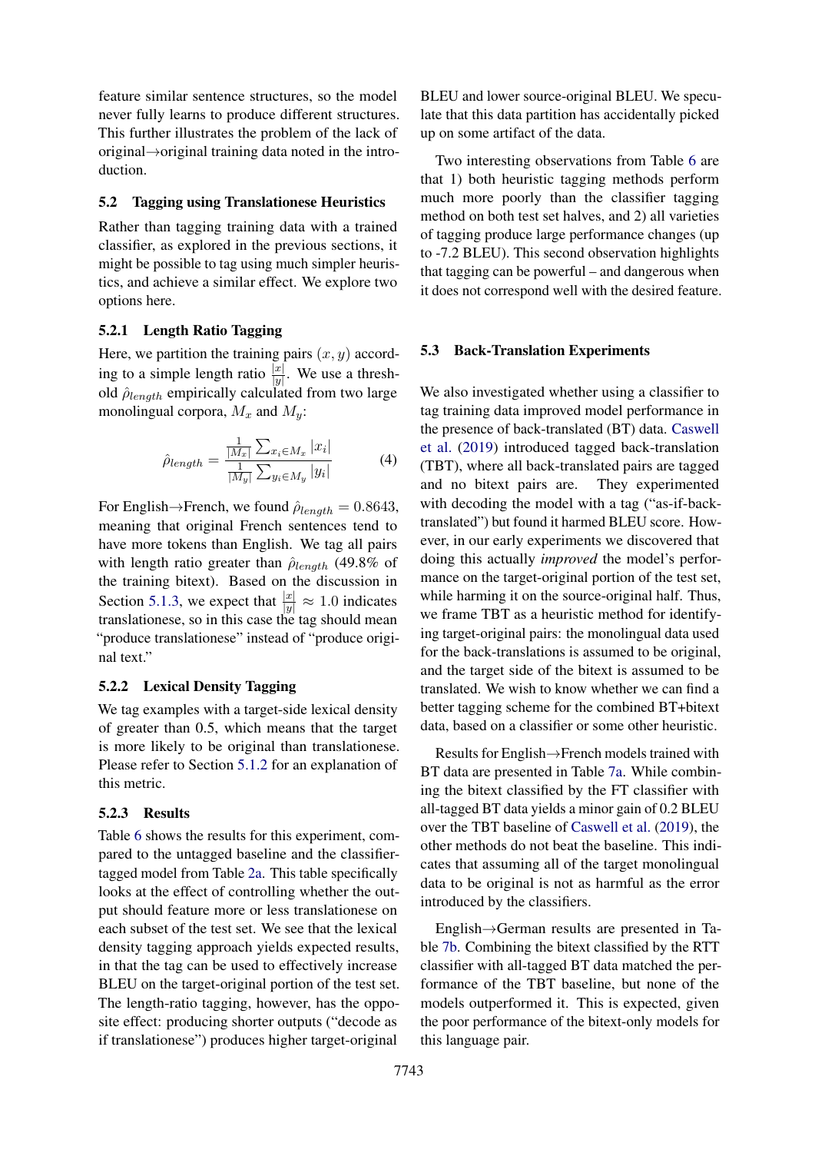feature similar sentence structures, so the model never fully learns to produce different structures. This further illustrates the problem of the lack of original→original training data noted in the introduction.

#### 5.2 Tagging using Translationese Heuristics

Rather than tagging training data with a trained classifier, as explored in the previous sections, it might be possible to tag using much simpler heuristics, and achieve a similar effect. We explore two options here.

#### 5.2.1 Length Ratio Tagging

Here, we partition the training pairs  $(x, y)$  according to a simple length ratio  $\frac{|x|}{|y|}$ . We use a threshold  $\hat{\rho}_{length}$  empirically calculated from two large monolingual corpora,  $M_x$  and  $M_y$ :

$$
\hat{\rho}_{length} = \frac{\frac{1}{|M_x|} \sum_{x_i \in M_x} |x_i|}{\frac{1}{|M_y|} \sum_{y_i \in M_y} |y_i|}
$$
(4)

For English→French, we found  $\hat{\rho}_{length} = 0.8643$ , meaning that original French sentences tend to have more tokens than English. We tag all pairs with length ratio greater than  $\hat{\rho}_{lenath}$  (49.8% of the training bitext). Based on the discussion in Section [5.1.3,](#page-5-2) we expect that  $\frac{|x|}{|y|} \approx 1.0$  indicates translationese, so in this case the tag should mean "produce translationese" instead of "produce original text."

#### 5.2.2 Lexical Density Tagging

We tag examples with a target-side lexical density of greater than 0.5, which means that the target is more likely to be original than translationese. Please refer to Section [5.1.2](#page-5-3) for an explanation of this metric.

#### 5.2.3 Results

Table [6](#page-7-0) shows the results for this experiment, compared to the untagged baseline and the classifiertagged model from Table [2a.](#page-3-3) This table specifically looks at the effect of controlling whether the output should feature more or less translationese on each subset of the test set. We see that the lexical density tagging approach yields expected results, in that the tag can be used to effectively increase BLEU on the target-original portion of the test set. The length-ratio tagging, however, has the opposite effect: producing shorter outputs ("decode as if translationese") produces higher target-original

BLEU and lower source-original BLEU. We speculate that this data partition has accidentally picked up on some artifact of the data.

Two interesting observations from Table [6](#page-7-0) are that 1) both heuristic tagging methods perform much more poorly than the classifier tagging method on both test set halves, and 2) all varieties of tagging produce large performance changes (up to -7.2 BLEU). This second observation highlights that tagging can be powerful – and dangerous when it does not correspond well with the desired feature.

#### <span id="page-6-0"></span>5.3 Back-Translation Experiments

We also investigated whether using a classifier to tag training data improved model performance in the presence of back-translated (BT) data. [Caswell](#page-8-6) [et al.](#page-8-6) [\(2019\)](#page-8-6) introduced tagged back-translation (TBT), where all back-translated pairs are tagged and no bitext pairs are. They experimented with decoding the model with a tag ("as-if-backtranslated") but found it harmed BLEU score. However, in our early experiments we discovered that doing this actually *improved* the model's performance on the target-original portion of the test set, while harming it on the source-original half. Thus, we frame TBT as a heuristic method for identifying target-original pairs: the monolingual data used for the back-translations is assumed to be original, and the target side of the bitext is assumed to be translated. We wish to know whether we can find a better tagging scheme for the combined BT+bitext data, based on a classifier or some other heuristic.

Results for English→French models trained with BT data are presented in Table [7a.](#page-7-1) While combining the bitext classified by the FT classifier with all-tagged BT data yields a minor gain of 0.2 BLEU over the TBT baseline of [Caswell et al.](#page-8-6) [\(2019\)](#page-8-6), the other methods do not beat the baseline. This indicates that assuming all of the target monolingual data to be original is not as harmful as the error introduced by the classifiers.

English→German results are presented in Table [7b.](#page-7-1) Combining the bitext classified by the RTT classifier with all-tagged BT data matched the performance of the TBT baseline, but none of the models outperformed it. This is expected, given the poor performance of the bitext-only models for this language pair.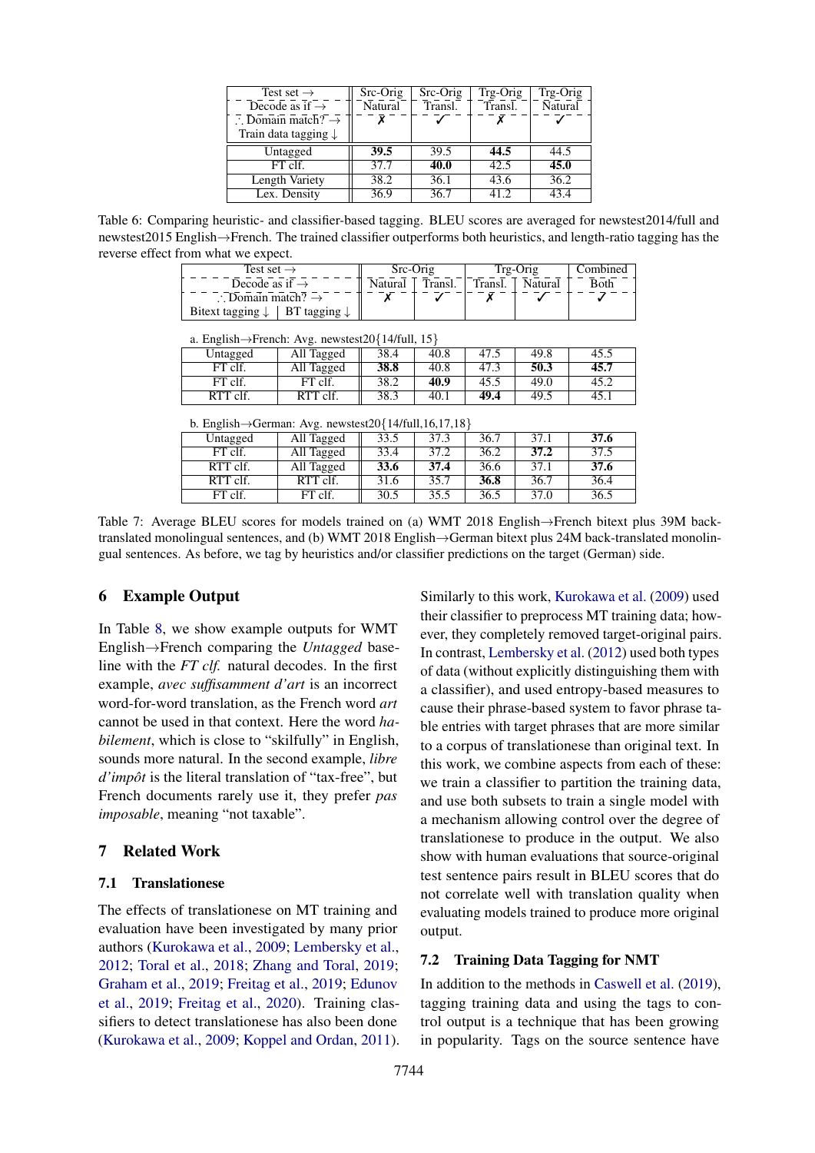<span id="page-7-0"></span>

| Test set $\rightarrow$                   | Src-Orig | Src-Orig | Trg-Orig | Trg-Orig |
|------------------------------------------|----------|----------|----------|----------|
| Decode as if $\rightarrow$               | Natural  | Transl.  | Transl.  | Natural  |
| $\therefore$ Domain match? $\rightarrow$ |          |          |          |          |
| Train data tagging $\downarrow$          |          |          |          |          |
| Untagged                                 | 39.5     | 39.5     | 44.5     | 44.5     |
| FT clf.                                  | 37.7     | 40.0     | 42.5     | 45.0     |
| Length Variety                           | 38.2     | 36.1     | 43.6     | 36.2     |
| Lex. Density                             | 36.9     | 36.7     | 41.2     | 43.4     |

<span id="page-7-1"></span>Table 6: Comparing heuristic- and classifier-based tagging. BLEU scores are averaged for newstest2014/full and newstest2015 English→French. The trained classifier outperforms both heuristics, and length-ratio tagging has the reverse effect from what we expect.

| Test set $\rightarrow$                                | Src-Orig |         | Trg-Orig | Combined |      |
|-------------------------------------------------------|----------|---------|----------|----------|------|
| Decode as if $\rightarrow$                            | Natural  | Transl. | Transl.  | Natural  | Both |
| $\therefore$ Domain match? $\rightarrow$              |          |         |          |          |      |
| Bitext tagging $\downarrow$   BT tagging $\downarrow$ |          |         |          |          |      |

| a. English $\rightarrow$ French: Avg. newstest20{14/full, 15} |                                         |  |  |      |
|---------------------------------------------------------------|-----------------------------------------|--|--|------|
| Untagged                                                      | All Tagged    38.4   40.8   47.5   49.8 |  |  | 45.5 |

| $_{\text{unuggeu}}$ | $\overline{\text{m}}$ $\overline{\text{m}}$ | <u>JU.I</u> | $\overline{\mathbf{v}}$ | $\cdots$ | $\sim$ | $\sim\,$ |
|---------------------|---------------------------------------------|-------------|-------------------------|----------|--------|----------|
| FT clf.             | Tagged                                      | 38.8        | 40.8                    | د.47     | 50.3   | 45.7     |
| FT clf.             | FT clf.                                     | 38.2        | 40.9                    | 45.5     | 49.0   | 45.2     |
| RTT clf.            | RTT clf.                                    | 38.3        | 40.1                    | 49.4     | 49.5   | 45.1     |

b. English $\rightarrow$ German: Avg. newstest20{14/full 16,17,18}

| 0. English / Octinali, <i>TWg.</i> hewsies(20) 17/100,10,17,10 |            |      |      |      |      |      |
|----------------------------------------------------------------|------------|------|------|------|------|------|
| Untagged                                                       | All Tagged | 33.5 | 37.3 | 36.7 | 37.1 | 37.6 |
| FT clf.                                                        | All Tagged | 33.4 | 37.2 | 36.2 | 37.2 | 37.5 |
| RTT clf.                                                       | All Tagged | 33.6 | 37.4 | 36.6 | 37.1 | 37.6 |
| RTT clf.                                                       | RTT clf.   | 31.6 | 35.7 | 36.8 | 36.7 | 36.4 |
| FT clf.                                                        | FT clf.    | 30.5 | 35.5 | 36.5 | 37.0 | 36.5 |

Table 7: Average BLEU scores for models trained on (a) WMT 2018 English→French bitext plus 39M backtranslated monolingual sentences, and (b) WMT 2018 English→German bitext plus 24M back-translated monolingual sentences. As before, we tag by heuristics and/or classifier predictions on the target (German) side.

# 6 Example Output

In Table [8,](#page-8-11) we show example outputs for WMT English→French comparing the *Untagged* baseline with the *FT clf.* natural decodes. In the first example, *avec suffisamment d'art* is an incorrect word-for-word translation, as the French word *art* cannot be used in that context. Here the word *habilement*, which is close to "skilfully" in English, sounds more natural. In the second example, *libre d'impôt* is the literal translation of "tax-free", but French documents rarely use it, they prefer *pas imposable*, meaning "not taxable".

# 7 Related Work

# 7.1 Translationese

The effects of translationese on MT training and evaluation have been investigated by many prior authors [\(Kurokawa et al.,](#page-9-3) [2009;](#page-9-3) [Lembersky et al.,](#page-9-4) [2012;](#page-9-4) [Toral et al.,](#page-9-0) [2018;](#page-9-0) [Zhang and Toral,](#page-9-1) [2019;](#page-9-1) [Graham et al.,](#page-8-3) [2019;](#page-8-3) [Freitag et al.,](#page-8-4) [2019;](#page-8-4) [Edunov](#page-8-7) [et al.,](#page-8-7) [2019;](#page-8-7) [Freitag et al.,](#page-8-12) [2020\)](#page-8-12). Training classifiers to detect translationese has also been done [\(Kurokawa et al.,](#page-9-3) [2009;](#page-9-3) [Koppel and Ordan,](#page-9-5) [2011\)](#page-9-5). Similarly to this work, [Kurokawa et al.](#page-9-3) [\(2009\)](#page-9-3) used their classifier to preprocess MT training data; however, they completely removed target-original pairs. In contrast, [Lembersky et al.](#page-9-4) [\(2012\)](#page-9-4) used both types of data (without explicitly distinguishing them with a classifier), and used entropy-based measures to cause their phrase-based system to favor phrase table entries with target phrases that are more similar to a corpus of translationese than original text. In this work, we combine aspects from each of these: we train a classifier to partition the training data, and use both subsets to train a single model with a mechanism allowing control over the degree of translationese to produce in the output. We also show with human evaluations that source-original test sentence pairs result in BLEU scores that do not correlate well with translation quality when evaluating models trained to produce more original output.

### 7.2 Training Data Tagging for NMT

In addition to the methods in [Caswell et al.](#page-8-6) [\(2019\)](#page-8-6), tagging training data and using the tags to control output is a technique that has been growing in popularity. Tags on the source sentence have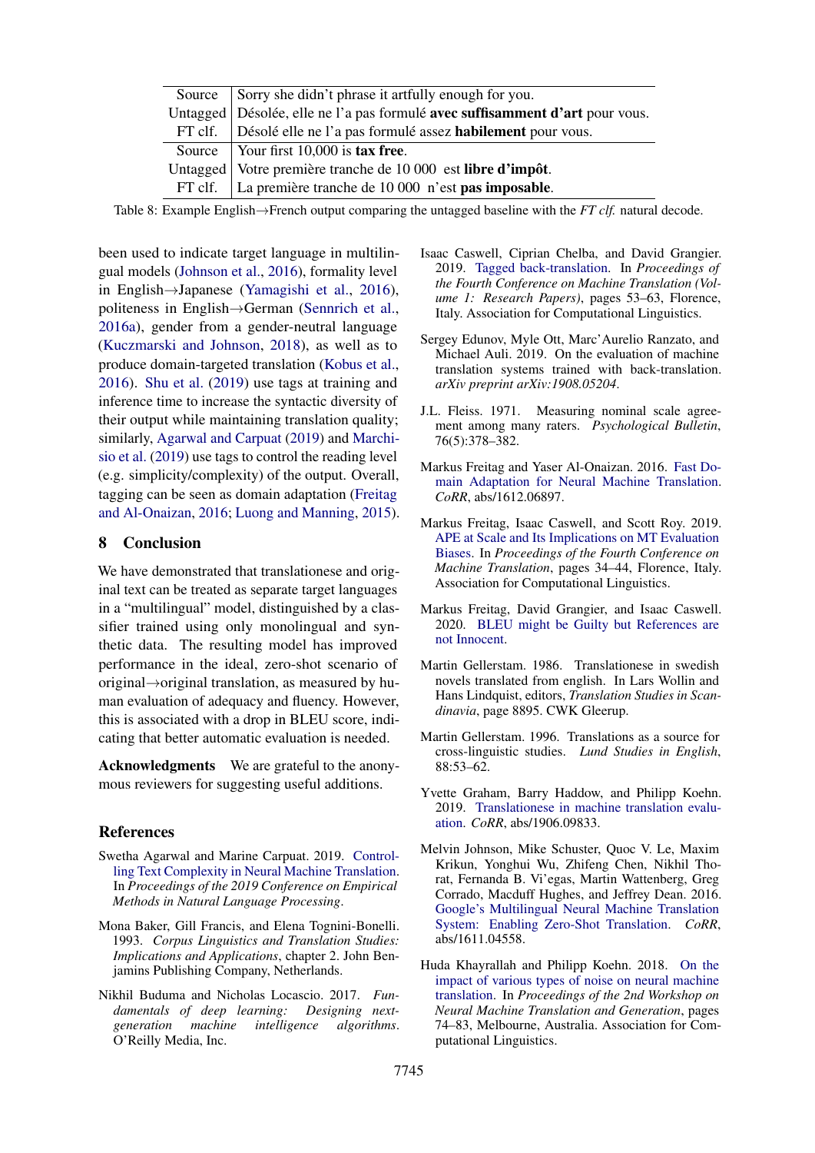<span id="page-8-11"></span>

| Source Sorry she didn't phrase it artfully enough for you.                     |
|--------------------------------------------------------------------------------|
| Untagged   Désolée, elle ne l'a pas formulé avec suffisamment d'art pour vous. |
| FT clf.   Désolé elle ne l'a pas formulé assez <b>habilement</b> pour vous.    |
| Source $\vert$ Your first 10,000 is tax free.                                  |
| Untagged   Votre première tranche de 10 000 est libre d'impôt.                 |
| FT clf.   La première tranche de $10000$ n'est <b>pas imposable</b> .          |

Table 8: Example English→French output comparing the untagged baseline with the *FT clf.* natural decode.

been used to indicate target language in multilingual models [\(Johnson et al.,](#page-8-5) [2016\)](#page-8-5), formality level in English→Japanese [\(Yamagishi et al.,](#page-9-14) [2016\)](#page-9-14), politeness in English→German [\(Sennrich et al.,](#page-9-15) [2016a\)](#page-9-15), gender from a gender-neutral language [\(Kuczmarski and Johnson,](#page-9-16) [2018\)](#page-9-16), as well as to produce domain-targeted translation [\(Kobus et al.,](#page-9-17) [2016\)](#page-9-17). [Shu et al.](#page-9-18) [\(2019\)](#page-9-18) use tags at training and inference time to increase the syntactic diversity of their output while maintaining translation quality; similarly, [Agarwal and Carpuat](#page-8-13) [\(2019\)](#page-8-13) and [Marchi](#page-9-19)[sio et al.](#page-9-19) [\(2019\)](#page-9-19) use tags to control the reading level (e.g. simplicity/complexity) of the output. Overall, tagging can be seen as domain adaptation [\(Freitag](#page-8-14) [and Al-Onaizan,](#page-8-14) [2016;](#page-8-14) [Luong and Manning,](#page-9-20) [2015\)](#page-9-20).

### 8 Conclusion

We have demonstrated that translationese and original text can be treated as separate target languages in a "multilingual" model, distinguished by a classifier trained using only monolingual and synthetic data. The resulting model has improved performance in the ideal, zero-shot scenario of original→original translation, as measured by human evaluation of adequacy and fluency. However, this is associated with a drop in BLEU score, indicating that better automatic evaluation is needed.

Acknowledgments We are grateful to the anonymous reviewers for suggesting useful additions.

#### References

- <span id="page-8-13"></span>Swetha Agarwal and Marine Carpuat. 2019. [Control](https://www.aclweb.org/anthology/D19-1166/)[ling Text Complexity in Neural Machine Translation.](https://www.aclweb.org/anthology/D19-1166/) In *Proceedings of the 2019 Conference on Empirical Methods in Natural Language Processing*.
- <span id="page-8-2"></span>Mona Baker, Gill Francis, and Elena Tognini-Bonelli. 1993. *Corpus Linguistics and Translation Studies: Implications and Applications*, chapter 2. John Benjamins Publishing Company, Netherlands.
- <span id="page-8-9"></span>Nikhil Buduma and Nicholas Locascio. 2017. *Fundamentals of deep learning: Designing nextgeneration machine intelligence algorithms*. O'Reilly Media, Inc.
- <span id="page-8-6"></span>Isaac Caswell, Ciprian Chelba, and David Grangier. 2019. [Tagged back-translation.](http://www.aclweb.org/anthology/W19-5206) In *Proceedings of the Fourth Conference on Machine Translation (Volume 1: Research Papers)*, pages 53–63, Florence, Italy. Association for Computational Linguistics.
- <span id="page-8-7"></span>Sergey Edunov, Myle Ott, Marc'Aurelio Ranzato, and Michael Auli. 2019. On the evaluation of machine translation systems trained with back-translation. *arXiv preprint arXiv:1908.05204*.
- <span id="page-8-10"></span>J.L. Fleiss. 1971. Measuring nominal scale agreement among many raters. *Psychological Bulletin*, 76(5):378–382.
- <span id="page-8-14"></span>Markus Freitag and Yaser Al-Onaizan. 2016. [Fast Do](http://arxiv.org/abs/1612.06897)[main Adaptation for Neural Machine Translation.](http://arxiv.org/abs/1612.06897) *CoRR*, abs/1612.06897.
- <span id="page-8-4"></span>Markus Freitag, Isaac Caswell, and Scott Roy. 2019. [APE at Scale and Its Implications on MT Evaluation](http://www.aclweb.org/anthology/W19-5204) [Biases.](http://www.aclweb.org/anthology/W19-5204) In *Proceedings of the Fourth Conference on Machine Translation*, pages 34–44, Florence, Italy. Association for Computational Linguistics.
- <span id="page-8-12"></span>Markus Freitag, David Grangier, and Isaac Caswell. 2020. [BLEU might be Guilty but References are](http://arxiv.org/abs/2004.06063) [not Innocent.](http://arxiv.org/abs/2004.06063)
- <span id="page-8-0"></span>Martin Gellerstam. 1986. Translationese in swedish novels translated from english. In Lars Wollin and Hans Lindquist, editors, *Translation Studies in Scandinavia*, page 8895. CWK Gleerup.
- <span id="page-8-1"></span>Martin Gellerstam. 1996. Translations as a source for cross-linguistic studies. *Lund Studies in English*, 88:53–62.
- <span id="page-8-3"></span>Yvette Graham, Barry Haddow, and Philipp Koehn. 2019. [Translationese in machine translation evalu](http://arxiv.org/abs/1906.09833)[ation.](http://arxiv.org/abs/1906.09833) *CoRR*, abs/1906.09833.
- <span id="page-8-5"></span>Melvin Johnson, Mike Schuster, Quoc V. Le, Maxim Krikun, Yonghui Wu, Zhifeng Chen, Nikhil Thorat, Fernanda B. Vi'egas, Martin Wattenberg, Greg Corrado, Macduff Hughes, and Jeffrey Dean. 2016. [Google's Multilingual Neural Machine Translation](http://arxiv.org/abs/1611.04558) [System: Enabling Zero-Shot Translation.](http://arxiv.org/abs/1611.04558) *CoRR*, abs/1611.04558.
- <span id="page-8-8"></span>Huda Khayrallah and Philipp Koehn. 2018. [On the](https://doi.org/10.18653/v1/W18-2709) [impact of various types of noise on neural machine](https://doi.org/10.18653/v1/W18-2709) [translation.](https://doi.org/10.18653/v1/W18-2709) In *Proceedings of the 2nd Workshop on Neural Machine Translation and Generation*, pages 74–83, Melbourne, Australia. Association for Computational Linguistics.